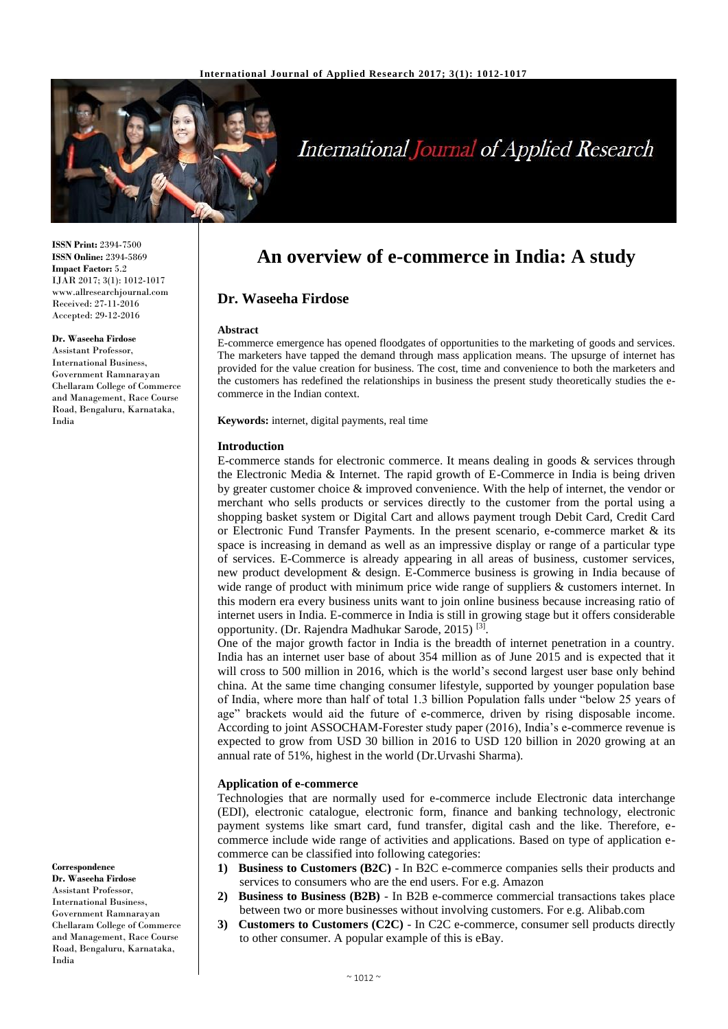

# **International Journal of Applied Research**

**ISSN Print:** 2394-7500 **ISSN Online:** 2394-5869 **Impact Factor:** 5.2 IJAR 2017; 3(1): 1012-1017 www.allresearchjournal.com Received: 27-11-2016 Accepted: 29-12-2016

#### **Dr. Waseeha Firdose**

Assistant Professor, International Business, Government Ramnarayan Chellaram College of Commerce and Management, Race Course Road, Bengaluru, Karnataka, India

**Correspondence**

**Dr. Waseeha Firdose** Assistant Professor, International Business, Government Ramnarayan Chellaram College of Commerce and Management, Race Course Road, Bengaluru, Karnataka, India

## **An overview of e-commerce in India: A study**

#### **Dr. Waseeha Firdose**

#### **Abstract**

E-commerce emergence has opened floodgates of opportunities to the marketing of goods and services. The marketers have tapped the demand through mass application means. The upsurge of internet has provided for the value creation for business. The cost, time and convenience to both the marketers and the customers has redefined the relationships in business the present study theoretically studies the ecommerce in the Indian context.

**Keywords:** internet, digital payments, real time

#### **Introduction**

E-commerce stands for electronic commerce. It means dealing in goods  $\&$  services through the Electronic Media & Internet. The rapid growth of E-Commerce in India is being driven by greater customer choice & improved convenience. With the help of internet, the vendor or merchant who sells products or services directly to the customer from the portal using a shopping basket system or Digital Cart and allows payment trough Debit Card, Credit Card or Electronic Fund Transfer Payments. In the present scenario, e-commerce market  $\&$  its space is increasing in demand as well as an impressive display or range of a particular type of services. E-Commerce is already appearing in all areas of business, customer services, new product development & design. E-Commerce business is growing in India because of wide range of product with minimum price wide range of suppliers & customers internet. In this modern era every business units want to join online business because increasing ratio of internet users in India. E-commerce in India is still in growing stage but it offers considerable opportunity. (Dr. Rajendra Madhukar Sarode, 2015)<sup>[3]</sup>.

One of the major growth factor in India is the breadth of internet penetration in a country. India has an internet user base of about 354 million as of June 2015 and is expected that it will cross to 500 million in 2016, which is the world's second largest user base only behind china. At the same time changing consumer lifestyle, supported by younger population base of India, where more than half of total 1.3 billion Population falls under "below 25 years of age" brackets would aid the future of e-commerce, driven by rising disposable income. According to joint ASSOCHAM-Forester study paper (2016), India's e-commerce revenue is expected to grow from USD 30 billion in 2016 to USD 120 billion in 2020 growing at an annual rate of 51%, highest in the world (Dr.Urvashi Sharma).

#### **Application of e-commerce**

Technologies that are normally used for e-commerce include Electronic data interchange (EDI), electronic catalogue, electronic form, finance and banking technology, electronic payment systems like smart card, fund transfer, digital cash and the like. Therefore, ecommerce include wide range of activities and applications. Based on type of application ecommerce can be classified into following categories:

- **1) Business to Customers (B2C)** In B2C e-commerce companies sells their products and services to consumers who are the end users. For e.g. Amazon
- **2) Business to Business (B2B)**  In B2B e-commerce commercial transactions takes place between two or more businesses without involving customers. For e.g. Alibab.com
- **3) Customers to Customers (C2C)** In C2C e-commerce, consumer sell products directly to other consumer. A popular example of this is eBay.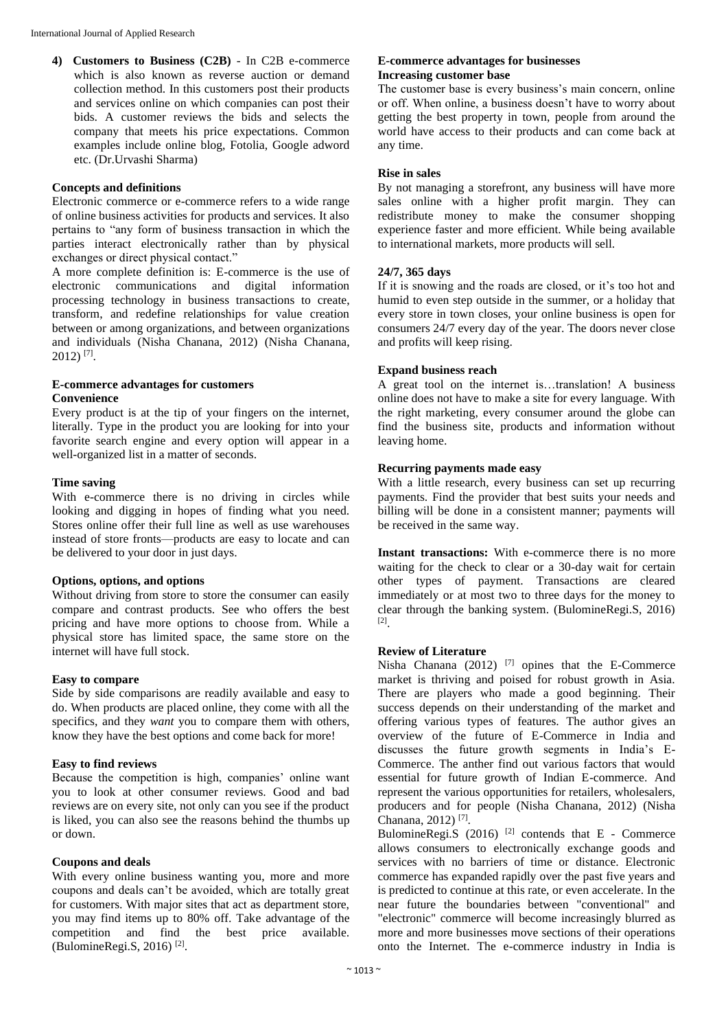**4) Customers to Business (C2B)** - In C2B e-commerce which is also known as reverse auction or demand collection method. In this customers post their products and services online on which companies can post their bids. A customer reviews the bids and selects the company that meets his price expectations. Common examples include online blog, Fotolia, Google adword etc. (Dr.Urvashi Sharma)

#### **Concepts and definitions**

Electronic commerce or e-commerce refers to a wide range of online business activities for products and services. It also pertains to "any form of business transaction in which the parties interact electronically rather than by physical exchanges or direct physical contact."

A more complete definition is: E-commerce is the use of electronic communications and digital information processing technology in business transactions to create, transform, and redefine relationships for value creation between or among organizations, and between organizations and individuals (Nisha Chanana, 2012) (Nisha Chanana, 2012) [7] .

### **E-commerce advantages for customers Convenience**

Every product is at the tip of your fingers on the internet, literally. Type in the product you are looking for into your favorite search engine and every option will appear in a well-organized list in a matter of seconds.

#### **Time saving**

With e-commerce there is no driving in circles while looking and digging in hopes of finding what you need. Stores online offer their full line as well as use warehouses instead of store fronts—products are easy to locate and can be delivered to your door in just days.

#### **Options, options, and options**

Without driving from store to store the consumer can easily compare and contrast products. See who offers the best pricing and have more options to choose from. While a physical store has limited space, the same store on the internet will have full stock.

#### **Easy to compare**

Side by side comparisons are readily available and easy to do. When products are placed online, they come with all the specifics, and they *want* you to compare them with others, know they have the best options and come back for more!

#### **Easy to find reviews**

Because the competition is high, companies' online want you to look at other consumer reviews. Good and bad reviews are on every site, not only can you see if the product is liked, you can also see the reasons behind the thumbs up or down.

#### **Coupons and deals**

With every online business wanting you, more and more coupons and deals can't be avoided, which are totally great for customers. With major sites that act as department store, you may find items up to 80% off. Take advantage of the competition and find the best price available. (BulomineRegi.S, 2016)<sup>[2]</sup>.

#### **E-commerce advantages for businesses Increasing customer base**

The customer base is every business's main concern, online or off. When online, a business doesn't have to worry about getting the best property in town, people from around the world have access to their products and can come back at any time.

#### **Rise in sales**

By not managing a storefront, any business will have more sales online with a higher profit margin. They can redistribute money to make the consumer shopping experience faster and more efficient. While being available to international markets, more products will sell.

#### **24/7, 365 days**

If it is snowing and the roads are closed, or it's too hot and humid to even step outside in the summer, or a holiday that every store in town closes, your online business is open for consumers 24/7 every day of the year. The doors never close and profits will keep rising.

#### **Expand business reach**

A great tool on the internet is…translation! A business online does not have to make a site for every language. With the right marketing, every consumer around the globe can find the business site, products and information without leaving home.

#### **Recurring payments made easy**

With a little research, every business can set up recurring payments. Find the provider that best suits your needs and billing will be done in a consistent manner; payments will be received in the same way.

**Instant transactions:** With e-commerce there is no more waiting for the check to clear or a 30-day wait for certain other types of payment. Transactions are cleared immediately or at most two to three days for the money to clear through the banking system. (BulomineRegi.S, 2016) [2] .

#### **Review of Literature**

Nisha Chanana  $(2012)$ <sup>[7]</sup> opines that the E-Commerce market is thriving and poised for robust growth in Asia. There are players who made a good beginning. Their success depends on their understanding of the market and offering various types of features. The author gives an overview of the future of E-Commerce in India and discusses the future growth segments in India's E-Commerce. The anther find out various factors that would essential for future growth of Indian E-commerce. And represent the various opportunities for retailers, wholesalers, producers and for people (Nisha Chanana, 2012) (Nisha Chanana, 2012)<sup>[7]</sup>.

BulomineRegi.S  $(2016)$ <sup>[2]</sup> contends that E - Commerce allows consumers to electronically exchange goods and services with no barriers of time or distance. Electronic commerce has expanded rapidly over the past five years and is predicted to continue at this rate, or even accelerate. In the near future the boundaries between "conventional" and "electronic" commerce will become increasingly blurred as more and more businesses move sections of their operations onto the Internet. The e-commerce industry in India is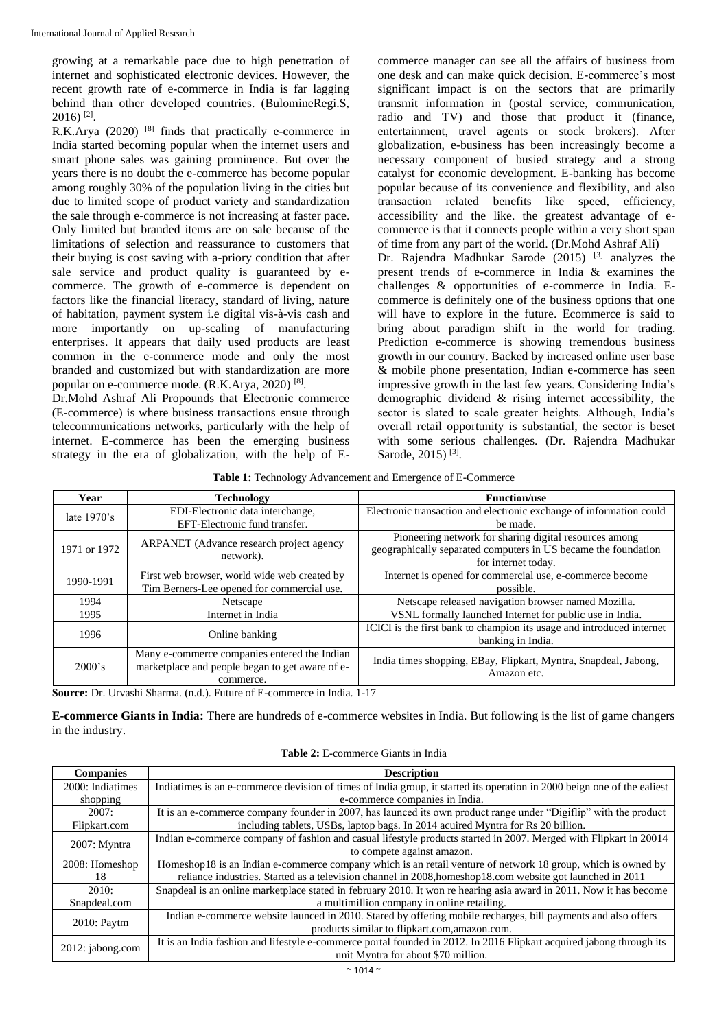growing at a remarkable pace due to high penetration of internet and sophisticated electronic devices. However, the recent growth rate of e-commerce in India is far lagging behind than other developed countries. (BulomineRegi.S,  $2016$ )<sup>[2]</sup>.

R.K.Arya  $(2020)$ <sup>[8]</sup> finds that practically e-commerce in India started becoming popular when the internet users and smart phone sales was gaining prominence. But over the years there is no doubt the e-commerce has become popular among roughly 30% of the population living in the cities but due to limited scope of product variety and standardization the sale through e-commerce is not increasing at faster pace. Only limited but branded items are on sale because of the limitations of selection and reassurance to customers that their buying is cost saving with a-priory condition that after sale service and product quality is guaranteed by ecommerce. The growth of e-commerce is dependent on factors like the financial literacy, standard of living, nature of habitation, payment system i.e digital vis-à-vis cash and more importantly on up-scaling of manufacturing enterprises. It appears that daily used products are least common in the e-commerce mode and only the most branded and customized but with standardization are more popular on e-commerce mode.  $(R.K.Arya, 2020)$ <sup>[8]</sup>.

Dr.Mohd Ashraf Ali Propounds that Electronic commerce (E-commerce) is where business transactions ensue through telecommunications networks, particularly with the help of internet. E-commerce has been the emerging business strategy in the era of globalization, with the help of E- commerce manager can see all the affairs of business from one desk and can make quick decision. E-commerce's most significant impact is on the sectors that are primarily transmit information in (postal service, communication, radio and TV) and those that product it (finance, entertainment, travel agents or stock brokers). After globalization, e-business has been increasingly become a necessary component of busied strategy and a strong catalyst for economic development. E-banking has become popular because of its convenience and flexibility, and also transaction related benefits like speed, efficiency, accessibility and the like. the greatest advantage of ecommerce is that it connects people within a very short span of time from any part of the world. (Dr.Mohd Ashraf Ali) Dr. Rajendra Madhukar Sarode (2015) <sup>[3]</sup> analyzes the present trends of e-commerce in India & examines the challenges & opportunities of e-commerce in India. Ecommerce is definitely one of the business options that one will have to explore in the future. Ecommerce is said to bring about paradigm shift in the world for trading. Prediction e-commerce is showing tremendous business growth in our country. Backed by increased online user base & mobile phone presentation, Indian e-commerce has seen impressive growth in the last few years. Considering India's demographic dividend & rising internet accessibility, the sector is slated to scale greater heights. Although, India's overall retail opportunity is substantial, the sector is beset with some serious challenges. (Dr. Rajendra Madhukar Sarode, 2015)<sup>[3]</sup>.

**Table 1:** Technology Advancement and Emergence of E-Commerce

| Year           | <b>Technology</b>                               | <b>Function/use</b>                                                   |  |  |
|----------------|-------------------------------------------------|-----------------------------------------------------------------------|--|--|
| late $1970$ 's | EDI-Electronic data interchange,                | Electronic transaction and electronic exchange of information could   |  |  |
|                | EFT-Electronic fund transfer.                   | be made.                                                              |  |  |
| 1971 or 1972   | ARPANET (Advance research project agency        | Pioneering network for sharing digital resources among                |  |  |
|                | network).                                       | geographically separated computers in US became the foundation        |  |  |
|                |                                                 | for internet today.                                                   |  |  |
| 1990-1991      | First web browser, world wide web created by    | Internet is opened for commercial use, e-commerce become              |  |  |
|                | Tim Berners-Lee opened for commercial use.      | possible.                                                             |  |  |
| 1994           | Netscape                                        | Netscape released navigation browser named Mozilla.                   |  |  |
| 1995           | Internet in India                               | VSNL formally launched Internet for public use in India.              |  |  |
| 1996           | Online banking                                  | ICICI is the first bank to champion its usage and introduced internet |  |  |
|                |                                                 | banking in India.                                                     |  |  |
| 2000's         | Many e-commerce companies entered the Indian    | India times shopping, EBay, Flipkart, Myntra, Snapdeal, Jabong,       |  |  |
|                | marketplace and people began to get aware of e- | Amazon etc.                                                           |  |  |
|                | commerce.                                       |                                                                       |  |  |

**Source:** Dr. Urvashi Sharma. (n.d.). Future of E-commerce in India. 1-17

**E-commerce Giants in India:** There are hundreds of e-commerce websites in India. But following is the list of game changers in the industry.

**Table 2:** E-commerce Giants in India

| <b>Companies</b> | <b>Description</b>                                                                                                      |  |  |
|------------------|-------------------------------------------------------------------------------------------------------------------------|--|--|
| 2000: Indiatimes | Indiatimes is an e-commerce devision of times of India group, it started its operation in 2000 beign one of the ealiest |  |  |
| shopping         | e-commerce companies in India.                                                                                          |  |  |
| 2007:            | It is an e-commerce company founder in 2007, has launced its own product range under "Digiflip" with the product        |  |  |
| Flipkart.com     | including tablets, USBs, laptop bags. In 2014 acuired Myntra for Rs 20 billion.                                         |  |  |
| $2007$ : Myntra  | Indian e-commerce company of fashion and casual lifestyle products started in 2007. Merged with Flipkart in 20014       |  |  |
|                  | to compete against amazon.                                                                                              |  |  |
| 2008: Homeshop   | Homeshop18 is an Indian e-commerce company which is an retail venture of network 18 group, which is owned by            |  |  |
| 18               | reliance industries. Started as a television channel in 2008, homeshop18.com website got launched in 2011               |  |  |
| 2010:            | Snapdeal is an online marketplace stated in february 2010. It won re hearing asia award in 2011. Now it has become      |  |  |
| Snapdeal.com     | a multimillion company in online retailing.                                                                             |  |  |
| 2010: Paytm      | Indian e-commerce website launced in 2010. Stared by offering mobile recharges, bill payments and also offers           |  |  |
|                  | products similar to flipkart.com,amazon.com.                                                                            |  |  |
| 2012: jabong.com | It is an India fashion and lifestyle e-commerce portal founded in 2012. In 2016 Flipkart acquired jabong through its    |  |  |
|                  | unit Myntra for about \$70 million.                                                                                     |  |  |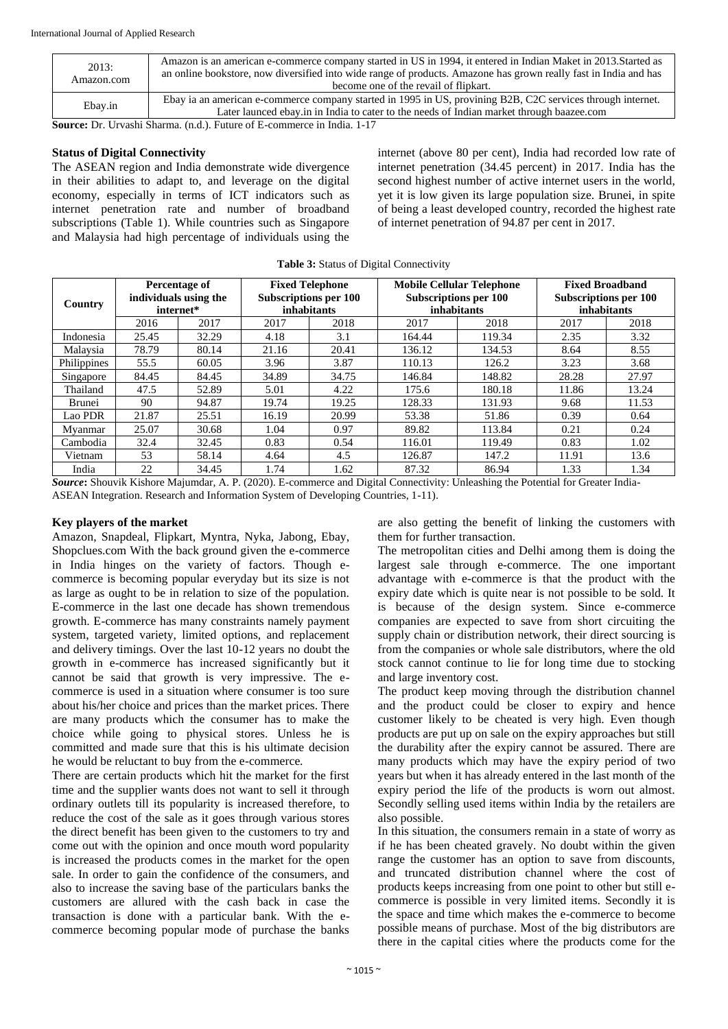| 2013:<br>Amazon.com | Amazon is an american e-commerce company started in US in 1994, it entered in Indian Maket in 2013. Started as<br>an online bookstore, now diversified into wide range of products. Amazone has grown really fast in India and has<br>become one of the revail of flipkart. |
|---------------------|-----------------------------------------------------------------------------------------------------------------------------------------------------------------------------------------------------------------------------------------------------------------------------|
| Ebay.in             | Ebay ia an american e-commerce company started in 1995 in US, provining B2B, C2C services through internet.<br>Later launced ebay in in India to cater to the needs of Indian market through baazee.com                                                                     |

**Source:** Dr. Urvashi Sharma. (n.d.). Future of E-commerce in India. 1-17

#### **Status of Digital Connectivity**

The ASEAN region and India demonstrate wide divergence in their abilities to adapt to, and leverage on the digital economy, especially in terms of ICT indicators such as internet penetration rate and number of broadband subscriptions (Table 1). While countries such as Singapore and Malaysia had high percentage of individuals using the internet (above 80 per cent), India had recorded low rate of internet penetration (34.45 percent) in 2017. India has the second highest number of active internet users in the world, yet it is low given its large population size. Brunei, in spite of being a least developed country, recorded the highest rate of internet penetration of 94.87 per cent in 2017.

| <b>rapic 5:</b> Buatus of Digital Connectivity |                                                     |       |                                                                       |       |                                                                                 |        |                                                                              |       |
|------------------------------------------------|-----------------------------------------------------|-------|-----------------------------------------------------------------------|-------|---------------------------------------------------------------------------------|--------|------------------------------------------------------------------------------|-------|
| Country                                        | Percentage of<br>individuals using the<br>internet* |       | <b>Fixed Telephone</b><br><b>Subscriptions per 100</b><br>inhabitants |       | <b>Mobile Cellular Telephone</b><br><b>Subscriptions per 100</b><br>inhabitants |        | <b>Fixed Broadband</b><br><b>Subscriptions per 100</b><br><i>inhabitants</i> |       |
|                                                | 2016                                                | 2017  | 2017                                                                  | 2018  | 2017                                                                            | 2018   | 2017                                                                         | 2018  |
| Indonesia                                      | 25.45                                               | 32.29 | 4.18                                                                  | 3.1   | 164.44                                                                          | 119.34 | 2.35                                                                         | 3.32  |
| Malaysia                                       | 78.79                                               | 80.14 | 21.16                                                                 | 20.41 | 136.12                                                                          | 134.53 | 8.64                                                                         | 8.55  |
| Philippines                                    | 55.5                                                | 60.05 | 3.96                                                                  | 3.87  | 110.13                                                                          | 126.2  | 3.23                                                                         | 3.68  |
| Singapore                                      | 84.45                                               | 84.45 | 34.89                                                                 | 34.75 | 146.84                                                                          | 148.82 | 28.28                                                                        | 27.97 |
| Thailand                                       | 47.5                                                | 52.89 | 5.01                                                                  | 4.22  | 175.6                                                                           | 180.18 | 11.86                                                                        | 13.24 |
| Brunei                                         | 90                                                  | 94.87 | 19.74                                                                 | 19.25 | 128.33                                                                          | 131.93 | 9.68                                                                         | 11.53 |
| Lao PDR                                        | 21.87                                               | 25.51 | 16.19                                                                 | 20.99 | 53.38                                                                           | 51.86  | 0.39                                                                         | 0.64  |
| Myanmar                                        | 25.07                                               | 30.68 | 1.04                                                                  | 0.97  | 89.82                                                                           | 113.84 | 0.21                                                                         | 0.24  |
| Cambodia                                       | 32.4                                                | 32.45 | 0.83                                                                  | 0.54  | 116.01                                                                          | 119.49 | 0.83                                                                         | 1.02  |
| Vietnam                                        | 53                                                  | 58.14 | 4.64                                                                  | 4.5   | 126.87                                                                          | 147.2  | 11.91                                                                        | 13.6  |
| India                                          | 22                                                  | 34.45 | 1.74                                                                  | 1.62  | 87.32                                                                           | 86.94  | 1.33                                                                         | 1.34  |

Table <sup>3</sup>: Status of Digital Connectivity

*Source***:** Shouvik Kishore Majumdar, A. P. (2020). E-commerce and Digital Connectivity: Unleashing the Potential for Greater India-ASEAN Integration. Research and Information System of Developing Countries, 1-11).

#### **Key players of the market**

Amazon, Snapdeal, Flipkart, Myntra, Nyka, Jabong, Ebay, Shopclues.com With the back ground given the e-commerce in India hinges on the variety of factors. Though ecommerce is becoming popular everyday but its size is not as large as ought to be in relation to size of the population. E-commerce in the last one decade has shown tremendous growth. E-commerce has many constraints namely payment system, targeted variety, limited options, and replacement and delivery timings. Over the last 10-12 years no doubt the growth in e-commerce has increased significantly but it cannot be said that growth is very impressive. The ecommerce is used in a situation where consumer is too sure about his/her choice and prices than the market prices. There are many products which the consumer has to make the choice while going to physical stores. Unless he is committed and made sure that this is his ultimate decision he would be reluctant to buy from the e-commerce.

There are certain products which hit the market for the first time and the supplier wants does not want to sell it through ordinary outlets till its popularity is increased therefore, to reduce the cost of the sale as it goes through various stores the direct benefit has been given to the customers to try and come out with the opinion and once mouth word popularity is increased the products comes in the market for the open sale. In order to gain the confidence of the consumers, and also to increase the saving base of the particulars banks the customers are allured with the cash back in case the transaction is done with a particular bank. With the ecommerce becoming popular mode of purchase the banks are also getting the benefit of linking the customers with them for further transaction.

The metropolitan cities and Delhi among them is doing the largest sale through e-commerce. The one important advantage with e-commerce is that the product with the expiry date which is quite near is not possible to be sold. It is because of the design system. Since e-commerce companies are expected to save from short circuiting the supply chain or distribution network, their direct sourcing is from the companies or whole sale distributors, where the old stock cannot continue to lie for long time due to stocking and large inventory cost.

The product keep moving through the distribution channel and the product could be closer to expiry and hence customer likely to be cheated is very high. Even though products are put up on sale on the expiry approaches but still the durability after the expiry cannot be assured. There are many products which may have the expiry period of two years but when it has already entered in the last month of the expiry period the life of the products is worn out almost. Secondly selling used items within India by the retailers are also possible.

In this situation, the consumers remain in a state of worry as if he has been cheated gravely. No doubt within the given range the customer has an option to save from discounts, and truncated distribution channel where the cost of products keeps increasing from one point to other but still ecommerce is possible in very limited items. Secondly it is the space and time which makes the e-commerce to become possible means of purchase. Most of the big distributors are there in the capital cities where the products come for the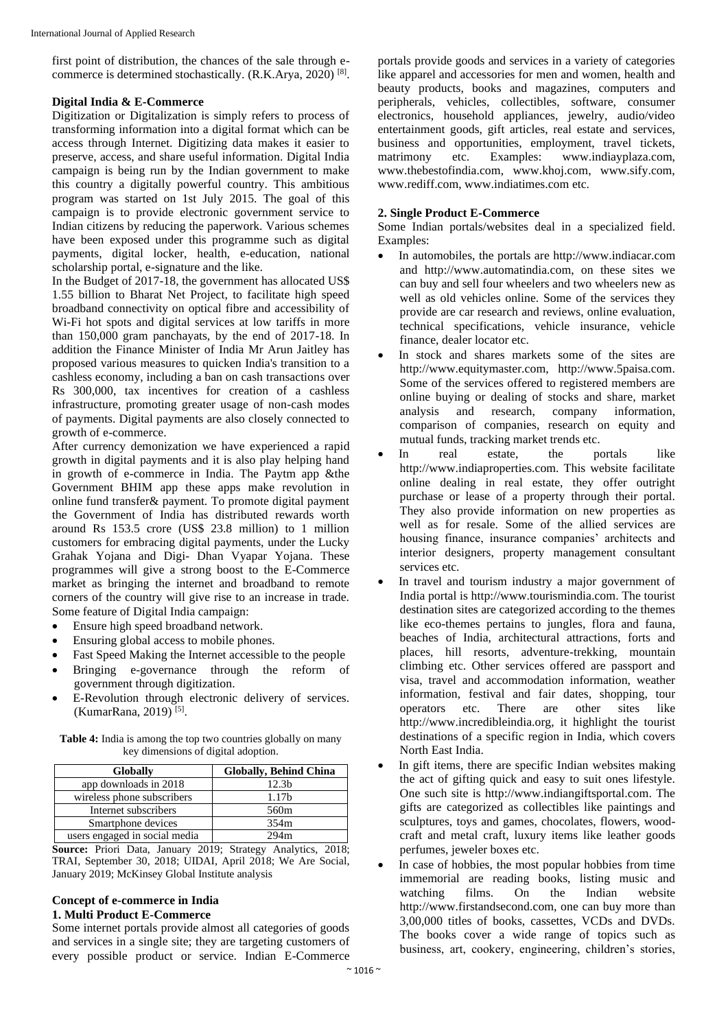first point of distribution, the chances of the sale through ecommerce is determined stochastically. (R.K.Arya, 2020)<sup>[8]</sup>.

#### **Digital India & E-Commerce**

Digitization or Digitalization is simply refers to process of transforming information into a digital format which can be access through Internet. Digitizing data makes it easier to preserve, access, and share useful information. Digital India campaign is being run by the Indian government to make this country a digitally powerful country. This ambitious program was started on 1st July 2015. The goal of this campaign is to provide electronic government service to Indian citizens by reducing the paperwork. Various schemes have been exposed under this programme such as digital payments, digital locker, health, e-education, national scholarship portal, e-signature and the like.

In the Budget of 2017-18, the government has allocated US\$ 1.55 billion to Bharat Net Project, to facilitate high speed broadband connectivity on optical fibre and accessibility of Wi-Fi hot spots and digital services at low tariffs in more than 150,000 gram panchayats, by the end of 2017-18. In addition the Finance Minister of India Mr Arun Jaitley has proposed various measures to quicken India's transition to a cashless economy, including a ban on cash transactions over Rs 300,000, tax incentives for creation of a cashless infrastructure, promoting greater usage of non-cash modes of payments. Digital payments are also closely connected to growth of e-commerce.

After currency demonization we have experienced a rapid growth in digital payments and it is also play helping hand in growth of e-commerce in India. The Paytm app &the Government BHIM app these apps make revolution in online fund transfer& payment. To promote digital payment the Government of India has distributed rewards worth around Rs 153.5 crore (US\$ 23.8 million) to 1 million customers for embracing digital payments, under the Lucky Grahak Yojana and Digi- Dhan Vyapar Yojana. These programmes will give a strong boost to the E-Commerce market as bringing the internet and broadband to remote corners of the country will give rise to an increase in trade. Some feature of Digital India campaign:

- Ensure high speed broadband network.
- Ensuring global access to mobile phones.
- Fast Speed Making the Internet accessible to the people
- Bringing e-governance through the reform of government through digitization.
- E-Revolution through electronic delivery of services. (KumarRana, 2019)<sup>[5]</sup>.

**Table 4:** India is among the top two countries globally on many key dimensions of digital adoption.

| <b>Globally</b>               | <b>Globally, Behind China</b> |  |  |  |
|-------------------------------|-------------------------------|--|--|--|
| app downloads in 2018         | 12.3b                         |  |  |  |
| wireless phone subscribers    | 1.17 <sub>b</sub>             |  |  |  |
| Internet subscribers          | 560m                          |  |  |  |
| Smartphone devices            | 354m                          |  |  |  |
| users engaged in social media | 294m                          |  |  |  |

**Source:** Priori Data, January 2019; Strategy Analytics, 2018; TRAI, September 30, 2018; UIDAI, April 2018; We Are Social, January 2019; McKinsey Global Institute analysis

#### **Concept of e-commerce in India 1. Multi Product E-Commerce**

Some internet portals provide almost all categories of goods and services in a single site; they are targeting customers of every possible product or service. Indian E-Commerce

portals provide goods and services in a variety of categories like apparel and accessories for men and women, health and beauty products, books and magazines, computers and peripherals, vehicles, collectibles, software, consumer electronics, household appliances, jewelry, audio/video entertainment goods, gift articles, real estate and services, business and opportunities, employment, travel tickets, matrimony etc. Examples: www.indiayplaza.com, www.thebestofindia.com, www.khoj.com, www.sify.com, www.rediff.com, www.indiatimes.com etc.

#### **2. Single Product E-Commerce**

Some Indian portals/websites deal in a specialized field. Examples:

- In automobiles, the portals are http://www.indiacar.com and http://www.automatindia.com, on these sites we can buy and sell four wheelers and two wheelers new as well as old vehicles online. Some of the services they provide are car research and reviews, online evaluation, technical specifications, vehicle insurance, vehicle finance, dealer locator etc.
- In stock and shares markets some of the sites are http://www.equitymaster.com, http://www.5paisa.com. Some of the services offered to registered members are online buying or dealing of stocks and share, market analysis and research, company information, comparison of companies, research on equity and mutual funds, tracking market trends etc.
- In real estate, the portals like http://www.indiaproperties.com. This website facilitate online dealing in real estate, they offer outright purchase or lease of a property through their portal. They also provide information on new properties as well as for resale. Some of the allied services are housing finance, insurance companies' architects and interior designers, property management consultant services etc.
- In travel and tourism industry a major government of India portal is http://www.tourismindia.com. The tourist destination sites are categorized according to the themes like eco-themes pertains to jungles, flora and fauna, beaches of India, architectural attractions, forts and places, hill resorts, adventure-trekking, mountain climbing etc. Other services offered are passport and visa, travel and accommodation information, weather information, festival and fair dates, shopping, tour operators etc. There are other sites like http://www.incredibleindia.org, it highlight the tourist destinations of a specific region in India, which covers North East India.
- In gift items, there are specific Indian websites making the act of gifting quick and easy to suit ones lifestyle. One such site is http://www.indiangiftsportal.com. The gifts are categorized as collectibles like paintings and sculptures, toys and games, chocolates, flowers, woodcraft and metal craft, luxury items like leather goods perfumes, jeweler boxes etc.
- In case of hobbies, the most popular hobbies from time immemorial are reading books, listing music and watching films. On the Indian website http://www.firstandsecond.com, one can buy more than 3,00,000 titles of books, cassettes, VCDs and DVDs. The books cover a wide range of topics such as business, art, cookery, engineering, children's stories,